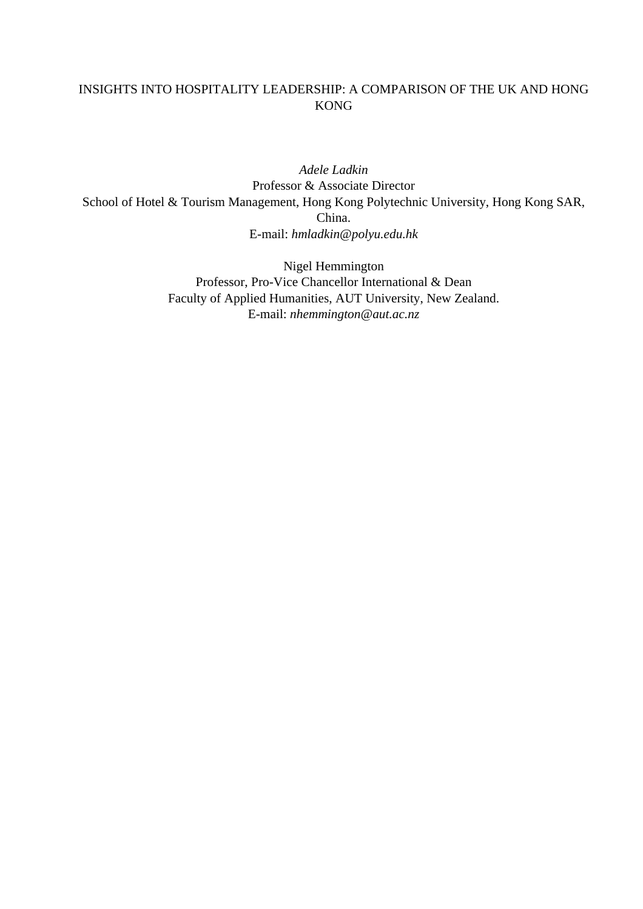# INSIGHTS INTO HOSPITALITY LEADERSHIP: A COMPARISON OF THE UK AND HONG KONG

*Adele Ladkin* Professor & Associate Director School of Hotel & Tourism Management, Hong Kong Polytechnic University, Hong Kong SAR, China. E-mail: *hmladkin@polyu.edu.hk*

> Nigel Hemmington Professor, Pro-Vice Chancellor International & Dean Faculty of Applied Humanities, AUT University, New Zealand. E-mail: *nhemmington@aut.ac.nz*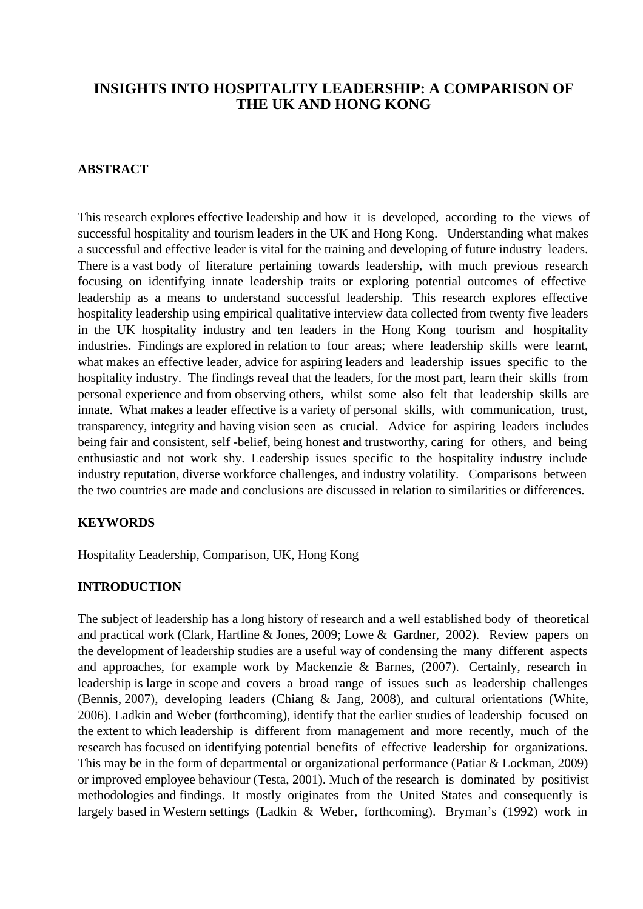# **INSIGHTS INTO HOSPITALITY LEADERSHIP: A COMPARISON OF THE UK AND HONG KONG**

### **ABSTRACT**

This research explores effective leadership and how it is developed, according to the views of successful hospitality and tourism leaders in the UK and Hong Kong. Understanding what makes a successful and effective leader is vital for the training and developing of future industry leaders. There is a vast body of literature pertaining towards leadership, with much previous research focusing on identifying innate leadership traits or exploring potential outcomes of effective leadership as a means to understand successful leadership. This research explores effective hospitality leadership using empirical qualitative interview data collected from twenty five leaders in the UK hospitality industry and ten leaders in the Hong Kong tourism and hospitality industries. Findings are explored in relation to four areas; where leadership skills were learnt, what makes an effective leader, advice for aspiring leaders and leadership issues specific to the hospitality industry. The findings reveal that the leaders, for the most part, learn their skills from personal experience and from observing others, whilst some also felt that leadership skills are innate. What makes a leader effective is a variety of personal skills, with communication, trust, transparency, integrity and having vision seen as crucial. Advice for aspiring leaders includes being fair and consistent, self -belief, being honest and trustworthy, caring for others, and being enthusiastic and not work shy. Leadership issues specific to the hospitality industry include industry reputation, diverse workforce challenges, and industry volatility. Comparisons between the two countries are made and conclusions are discussed in relation to similarities or differences.

#### **KEYWORDS**

Hospitality Leadership, Comparison, UK, Hong Kong

#### **INTRODUCTION**

The subject of leadership has a long history of research and a well established body of theoretical and practical work (Clark, Hartline & Jones, 2009; Lowe & Gardner, 2002). Review papers on the development of leadership studies are a useful way of condensing the many different aspects and approaches, for example work by Mackenzie & Barnes, (2007). Certainly, research in leadership is large in scope and covers a broad range of issues such as leadership challenges (Bennis, 2007), developing leaders (Chiang & Jang, 2008), and cultural orientations (White, 2006). Ladkin and Weber (forthcoming), identify that the earlier studies of leadership focused on the extent to which leadership is different from management and more recently, much of the research has focused on identifying potential benefits of effective leadership for organizations. This may be in the form of departmental or organizational performance (Patiar & Lockman, 2009) or improved employee behaviour (Testa, 2001). Much of the research is dominated by positivist methodologies and findings. It mostly originates from the United States and consequently is largely based in Western settings (Ladkin & Weber, forthcoming). Bryman's (1992) work in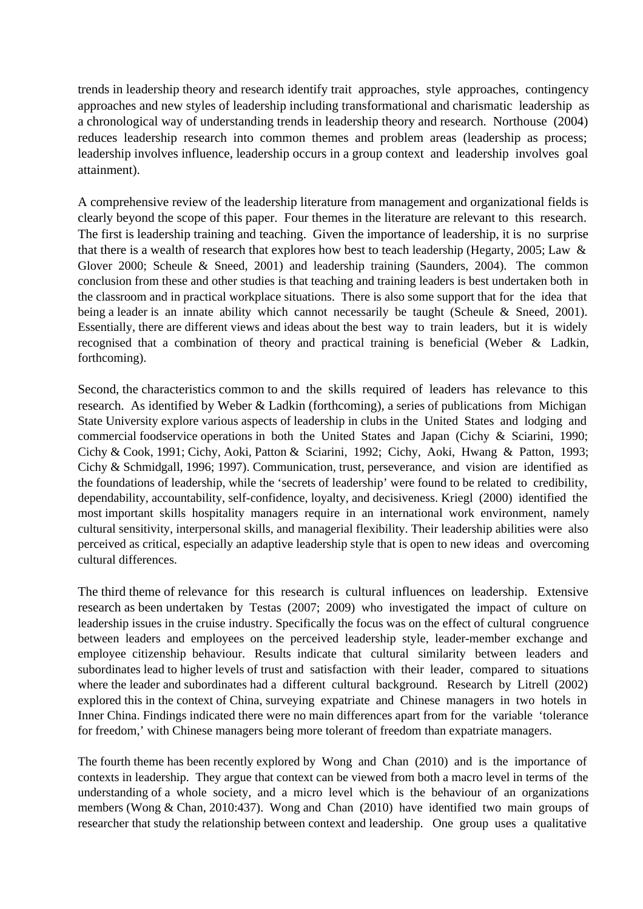trends in leadership theory and research identify trait approaches, style approaches, contingency approaches and new styles of leadership including transformational and charismatic leadership as a chronological way of understanding trends in leadership theory and research. Northouse (2004) reduces leadership research into common themes and problem areas (leadership as process; leadership involves influence, leadership occurs in a group context and leadership involves goal attainment).

A comprehensive review of the leadership literature from management and organizational fields is clearly beyond the scope of this paper. Four themes in the literature are relevant to this research. The first is leadership training and teaching. Given the importance of leadership, it is no surprise that there is a wealth of research that explores how best to teach leadership (Hegarty, 2005; Law & Glover 2000; Scheule & Sneed, 2001) and leadership training (Saunders, 2004). The common conclusion from these and other studies is that teaching and training leaders is best undertaken both in the classroom and in practical workplace situations. There is also some support that for the idea that being a leader is an innate ability which cannot necessarily be taught (Scheule & Sneed, 2001). Essentially, there are different views and ideas about the best way to train leaders, but it is widely recognised that a combination of theory and practical training is beneficial (Weber & Ladkin, forthcoming).

Second, the characteristics common to and the skills required of leaders has relevance to this research. As identified by Weber & Ladkin (forthcoming), a series of publications from Michigan State University explore various aspects of leadership in clubs in the United States and lodging and commercial foodservice operations in both the United States and Japan (Cichy & Sciarini, 1990; Cichy & Cook, 1991; Cichy, Aoki, Patton & Sciarini, 1992; Cichy, Aoki, Hwang & Patton, 1993; Cichy & Schmidgall, 1996; 1997). Communication, trust, perseverance, and vision are identified as the foundations of leadership, while the 'secrets of leadership' were found to be related to credibility, dependability, accountability, self-confidence, loyalty, and decisiveness. Kriegl (2000) identified the most important skills hospitality managers require in an international work environment, namely cultural sensitivity, interpersonal skills, and managerial flexibility. Their leadership abilities were also perceived as critical, especially an adaptive leadership style that is open to new ideas and overcoming cultural differences.

The third theme of relevance for this research is cultural influences on leadership. Extensive research as been undertaken by Testas (2007; 2009) who investigated the impact of culture on leadership issues in the cruise industry. Specifically the focus was on the effect of cultural congruence between leaders and employees on the perceived leadership style, leader-member exchange and employee citizenship behaviour. Results indicate that cultural similarity between leaders and subordinates lead to higher levels of trust and satisfaction with their leader, compared to situations where the leader and subordinates had a different cultural background. Research by Litrell (2002) explored this in the context of China, surveying expatriate and Chinese managers in two hotels in Inner China. Findings indicated there were no main differences apart from for the variable 'tolerance for freedom,' with Chinese managers being more tolerant of freedom than expatriate managers.

The fourth theme has been recently explored by Wong and Chan (2010) and is the importance of contexts in leadership. They argue that context can be viewed from both a macro level in terms of the understanding of a whole society, and a micro level which is the behaviour of an organizations members (Wong & Chan, 2010:437). Wong and Chan (2010) have identified two main groups of researcher that study the relationship between context and leadership. One group uses a qualitative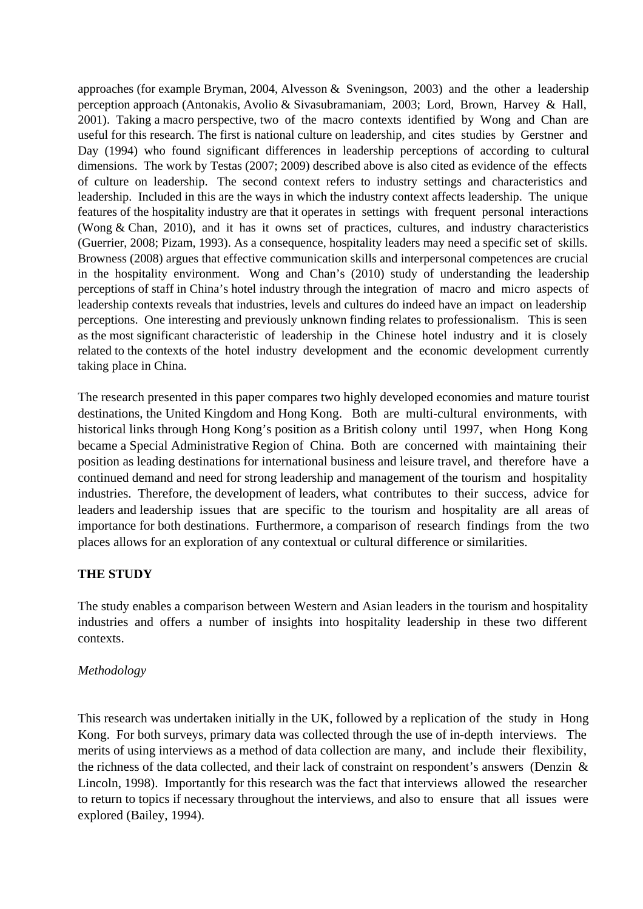approaches (for example Bryman, 2004, Alvesson & Sveningson, 2003) and the other a leadership perception approach (Antonakis, Avolio & Sivasubramaniam, 2003; Lord, Brown, Harvey & Hall, 2001). Taking a macro perspective, two of the macro contexts identified by Wong and Chan are useful for this research. The first is national culture on leadership, and cites studies by Gerstner and Day (1994) who found significant differences in leadership perceptions of according to cultural dimensions. The work by Testas (2007; 2009) described above is also cited as evidence of the effects of culture on leadership. The second context refers to industry settings and characteristics and leadership. Included in this are the ways in which the industry context affects leadership. The unique features of the hospitality industry are that it operates in settings with frequent personal interactions (Wong & Chan, 2010), and it has it owns set of practices, cultures, and industry characteristics (Guerrier, 2008; Pizam, 1993). As a consequence, hospitality leaders may need a specific set of skills. Browness (2008) argues that effective communication skills and interpersonal competences are crucial in the hospitality environment. Wong and Chan's (2010) study of understanding the leadership perceptions of staff in China's hotel industry through the integration of macro and micro aspects of leadership contexts reveals that industries, levels and cultures do indeed have an impact on leadership perceptions. One interesting and previously unknown finding relates to professionalism. This is seen as the most significant characteristic of leadership in the Chinese hotel industry and it is closely related to the contexts of the hotel industry development and the economic development currently taking place in China.

The research presented in this paper compares two highly developed economies and mature tourist destinations, the United Kingdom and Hong Kong. Both are multi-cultural environments, with historical links through Hong Kong's position as a British colony until 1997, when Hong Kong became a Special Administrative Region of China. Both are concerned with maintaining their position as leading destinations for international business and leisure travel, and therefore have a continued demand and need for strong leadership and management of the tourism and hospitality industries. Therefore, the development of leaders, what contributes to their success, advice for leaders and leadership issues that are specific to the tourism and hospitality are all areas of importance for both destinations. Furthermore, a comparison of research findings from the two places allows for an exploration of any contextual or cultural difference or similarities.

## **THE STUDY**

The study enables a comparison between Western and Asian leaders in the tourism and hospitality industries and offers a number of insights into hospitality leadership in these two different contexts.

## *Methodology*

This research was undertaken initially in the UK, followed by a replication of the study in Hong Kong. For both surveys, primary data was collected through the use of in-depth interviews. The merits of using interviews as a method of data collection are many, and include their flexibility, the richness of the data collected, and their lack of constraint on respondent's answers (Denzin & Lincoln, 1998). Importantly for this research was the fact that interviews allowed the researcher to return to topics if necessary throughout the interviews, and also to ensure that all issues were explored (Bailey, 1994).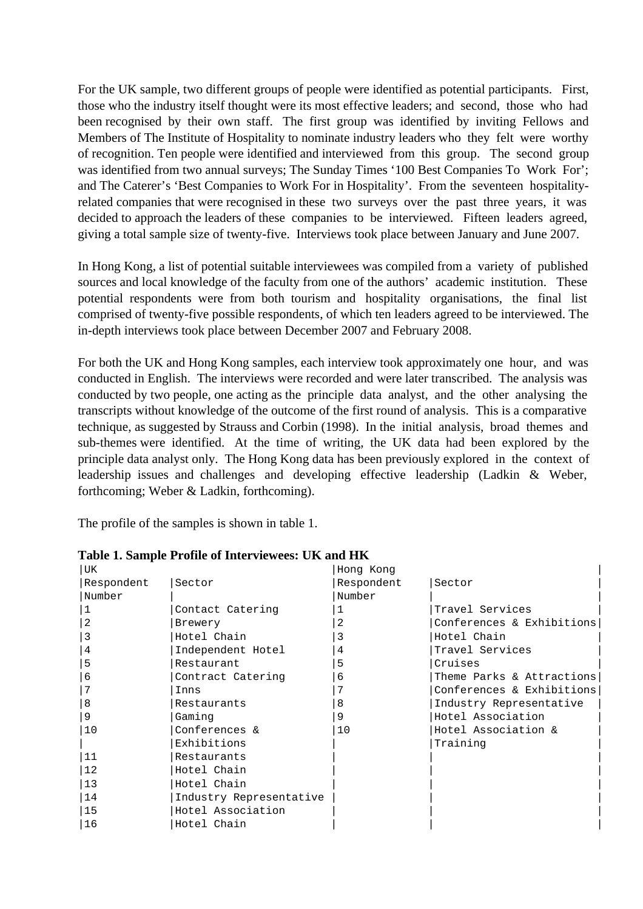For the UK sample, two different groups of people were identified as potential participants. First, those who the industry itself thought were its most effective leaders; and second, those who had been recognised by their own staff. The first group was identified by inviting Fellows and Members of The Institute of Hospitality to nominate industry leaders who they felt were worthy of recognition. Ten people were identified and interviewed from this group. The second group was identified from two annual surveys; The Sunday Times '100 Best Companies To Work For'; and The Caterer's 'Best Companies to Work For in Hospitality'. From the seventeen hospitalityrelated companies that were recognised in these two surveys over the past three years, it was decided to approach the leaders of these companies to be interviewed. Fifteen leaders agreed, giving a total sample size of twenty-five. Interviews took place between January and June 2007.

In Hong Kong, a list of potential suitable interviewees was compiled from a variety of published sources and local knowledge of the faculty from one of the authors' academic institution. These potential respondents were from both tourism and hospitality organisations, the final list comprised of twenty-five possible respondents, of which ten leaders agreed to be interviewed. The in-depth interviews took place between December 2007 and February 2008.

For both the UK and Hong Kong samples, each interview took approximately one hour, and was conducted in English. The interviews were recorded and were later transcribed. The analysis was conducted by two people, one acting as the principle data analyst, and the other analysing the transcripts without knowledge of the outcome of the first round of analysis. This is a comparative technique, as suggested by Strauss and Corbin (1998). In the initial analysis, broad themes and sub-themes were identified. At the time of writing, the UK data had been explored by the principle data analyst only. The Hong Kong data has been previously explored in the context of leadership issues and challenges and developing effective leadership (Ladkin & Weber, forthcoming; Weber & Ladkin, forthcoming).

The profile of the samples is shown in table 1.

| UK         |                         | Hong Kong  |                           |  |
|------------|-------------------------|------------|---------------------------|--|
| Respondent | Sector                  | Respondent | Sector                    |  |
| Number     |                         | Number     |                           |  |
|            | Contact Catering        |            | Travel Services           |  |
|            | Brewery                 |            | Conferences & Exhibitions |  |
|            | Hotel Chain             |            | Hotel Chain               |  |
| 4          | Independent Hotel       | 4          | Travel Services           |  |
| 5          | Restaurant              | 5          | Cruises                   |  |
| 6          | Contract Catering       | 6          | Theme Parks & Attractions |  |
|            | Inns                    |            | Conferences & Exhibitions |  |
| 8          | Restaurants             | 8          | Industry Representative   |  |
| 9          | Gaming                  | 9          | Hotel Association         |  |
| 10         | Conferences &           | 10         | Hotel Association &       |  |
|            | Exhibitions             |            | Training                  |  |
| 11         | Restaurants             |            |                           |  |
| 12         | Hotel Chain             |            |                           |  |
| 13         | Hotel Chain             |            |                           |  |
| 14         | Industry Representative |            |                           |  |
| 15         | Hotel Association       |            |                           |  |
| 16         | Hotel Chain             |            |                           |  |

**Table 1. Sample Profile of Interviewees: UK and HK**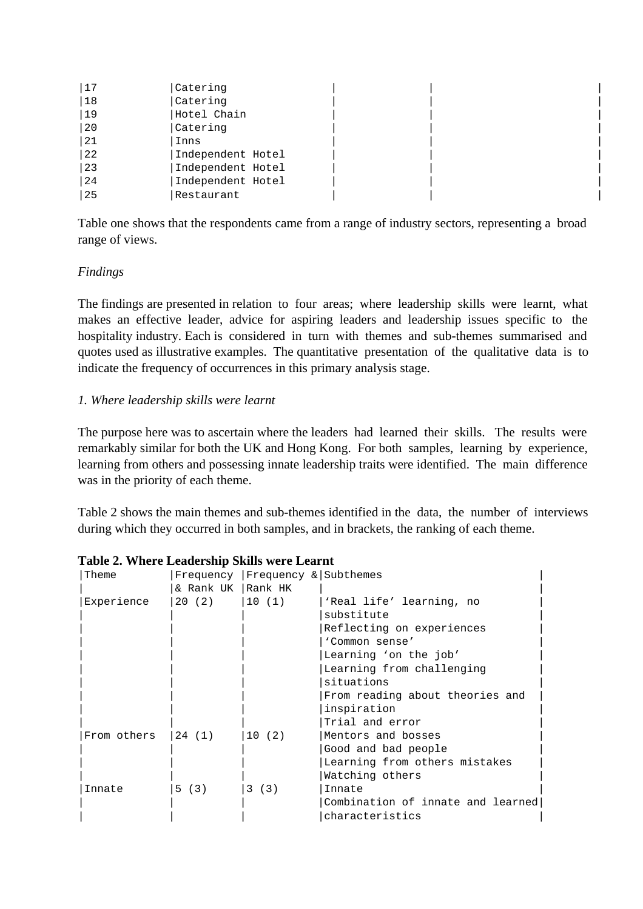| 17 | Catering          |  |  |
|----|-------------------|--|--|
| 18 | Catering          |  |  |
| 19 | Hotel Chain       |  |  |
| 20 | Catering          |  |  |
| 21 | Inns              |  |  |
| 22 | Independent Hotel |  |  |
| 23 | Independent Hotel |  |  |
| 24 | Independent Hotel |  |  |
| 25 | Restaurant        |  |  |

Table one shows that the respondents came from a range of industry sectors, representing a broad range of views.

### *Findings*

The findings are presented in relation to four areas; where leadership skills were learnt, what makes an effective leader, advice for aspiring leaders and leadership issues specific to the hospitality industry. Each is considered in turn with themes and sub-themes summarised and quotes used as illustrative examples. The quantitative presentation of the qualitative data is to indicate the frequency of occurrences in this primary analysis stage.

### *1. Where leadership skills were learnt*

The purpose here was to ascertain where the leaders had learned their skills. The results were remarkably similar for both the UK and Hong Kong. For both samples, learning by experience, learning from others and possessing innate leadership traits were identified. The main difference was in the priority of each theme.

Table 2 shows the main themes and sub-themes identified in the data, the number of interviews during which they occurred in both samples, and in brackets, the ranking of each theme.

| Theme       |                     | Frequency   Frequency & Subthemes |                                   |
|-------------|---------------------|-----------------------------------|-----------------------------------|
|             | & Rank UK   Rank HK |                                   |                                   |
| Experience  | 20 (2)              | 10(1)                             | 'Real life' learning, no          |
|             |                     |                                   | substitute                        |
|             |                     |                                   | Reflecting on experiences         |
|             |                     |                                   | 'Common sense'                    |
|             |                     |                                   | Learning 'on the job'             |
|             |                     |                                   | Learning from challenging         |
|             |                     |                                   | situations                        |
|             |                     |                                   | From reading about theories and   |
|             |                     |                                   | inspiration                       |
|             |                     |                                   | Trial and error                   |
| From others | 24(1)               | 10(2)                             | Mentors and bosses                |
|             |                     |                                   | Good and bad people               |
|             |                     |                                   | Learning from others mistakes     |
|             |                     |                                   | Watching others                   |
| Innate      | 5 (3)               | 3 (3)                             | Innate                            |
|             |                     |                                   | Combination of innate and learned |
|             |                     |                                   | characteristics                   |

| Table 2. Where Leadership Skills were Learnt |
|----------------------------------------------|
|----------------------------------------------|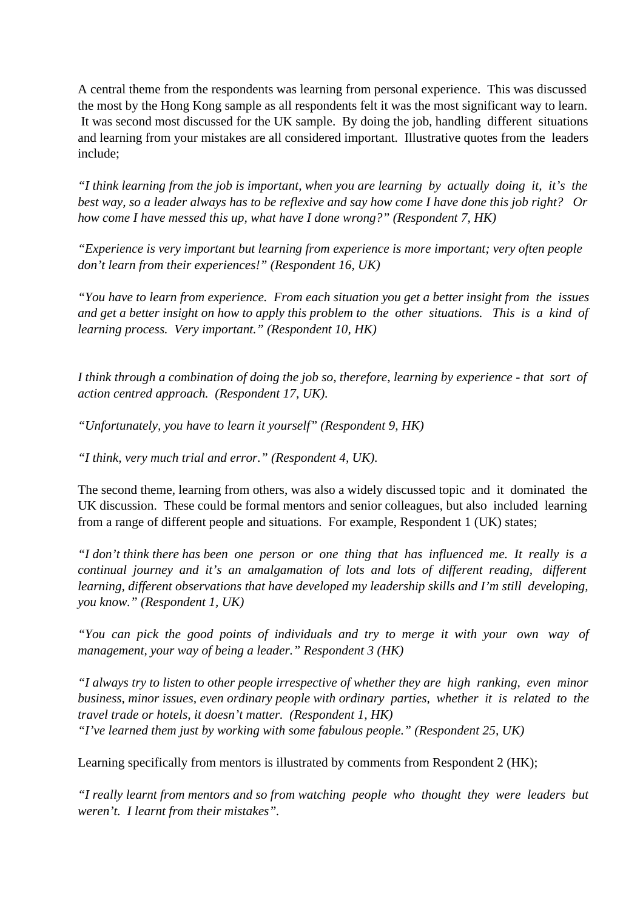A central theme from the respondents was learning from personal experience. This was discussed the most by the Hong Kong sample as all respondents felt it was the most significant way to learn. It was second most discussed for the UK sample. By doing the job, handling different situations and learning from your mistakes are all considered important. Illustrative quotes from the leaders include;

*"I think learning from the job is important, when you are learning by actually doing it, it's the best way, so a leader always has to be reflexive and say how come I have done this job right? Or how come I have messed this up, what have I done wrong?" (Respondent 7, HK)*

*"Experience is very important but learning from experience is more important; very often people don't learn from their experiences!" (Respondent 16, UK)*

*"You have to learn from experience. From each situation you get a better insight from the issues and get a better insight on how to apply this problem to the other situations. This is a kind of learning process. Very important." (Respondent 10, HK)*

*I think through a combination of doing the job so, therefore, learning by experience - that sort of action centred approach. (Respondent 17, UK).*

*"Unfortunately, you have to learn it yourself" (Respondent 9, HK)*

*"I think, very much trial and error." (Respondent 4, UK).*

The second theme, learning from others, was also a widely discussed topic and it dominated the UK discussion. These could be formal mentors and senior colleagues, but also included learning from a range of different people and situations. For example, Respondent 1 (UK) states;

*"I don't think there has been one person or one thing that has influenced me. It really is a continual journey and it's an amalgamation of lots and lots of different reading, different learning, different observations that have developed my leadership skills and I'm still developing, you know." (Respondent 1, UK)*

*"You can pick the good points of individuals and try to merge it with your own way of management, your way of being a leader." Respondent 3 (HK)*

*"I always try to listen to other people irrespective of whether they are high ranking, even minor business, minor issues, even ordinary people with ordinary parties, whether it is related to the travel trade or hotels, it doesn't matter. (Respondent 1, HK) "I've learned them just by working with some fabulous people." (Respondent 25, UK)*

Learning specifically from mentors is illustrated by comments from Respondent 2 (HK);

*"I really learnt from mentors and so from watching people who thought they were leaders but weren't. I learnt from their mistakes".*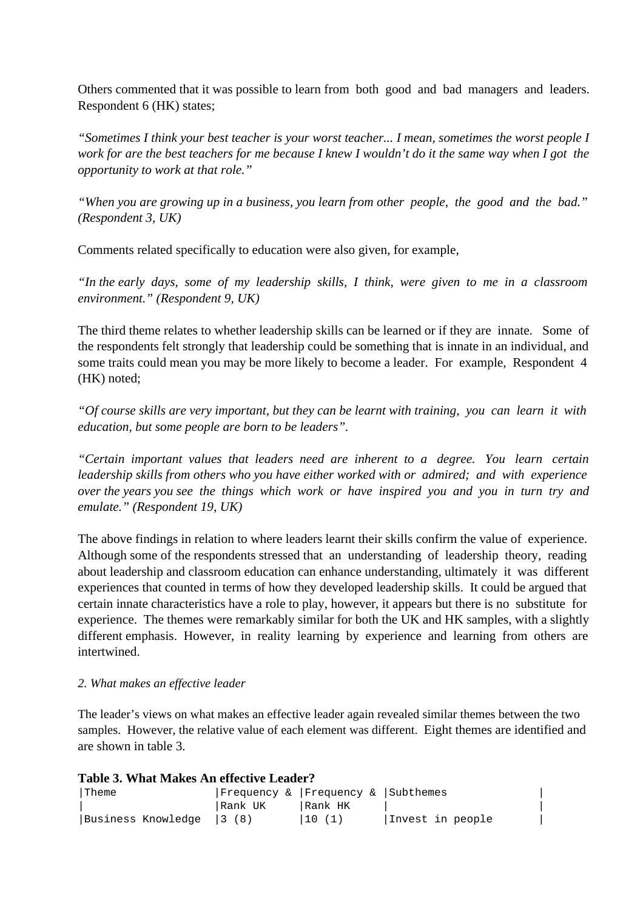Others commented that it was possible to learn from both good and bad managers and leaders. Respondent 6 (HK) states;

*"Sometimes I think your best teacher is your worst teacher... I mean, sometimes the worst people I work for are the best teachers for me because I knew I wouldn't do it the same way when I got the opportunity to work at that role."*

*"When you are growing up in a business, you learn from other people, the good and the bad." (Respondent 3, UK)*

Comments related specifically to education were also given, for example,

*"In the early days, some of my leadership skills, I think, were given to me in a classroom environment." (Respondent 9, UK)*

The third theme relates to whether leadership skills can be learned or if they are innate. Some of the respondents felt strongly that leadership could be something that is innate in an individual, and some traits could mean you may be more likely to become a leader. For example, Respondent 4 (HK) noted;

*"Of course skills are very important, but they can be learnt with training, you can learn it with education, but some people are born to be leaders".*

*"Certain important values that leaders need are inherent to a degree. You learn certain leadership skills from others who you have either worked with or admired; and with experience over the years you see the things which work or have inspired you and you in turn try and emulate." (Respondent 19, UK)*

The above findings in relation to where leaders learnt their skills confirm the value of experience. Although some of the respondents stressed that an understanding of leadership theory, reading about leadership and classroom education can enhance understanding, ultimately it was different experiences that counted in terms of how they developed leadership skills. It could be argued that certain innate characteristics have a role to play, however, it appears but there is no substitute for experience. The themes were remarkably similar for both the UK and HK samples, with a slightly different emphasis. However, in reality learning by experience and learning from others are intertwined.

#### *2. What makes an effective leader*

The leader's views on what makes an effective leader again revealed similar themes between the two samples. However, the relative value of each element was different. Eight themes are identified and are shown in table 3.

| Table 3. What Makes An effective Leader? |                                   |         |                  |  |  |  |
|------------------------------------------|-----------------------------------|---------|------------------|--|--|--|
| <b>Theme</b>                             | Frequency & Frequency & Subchemes |         |                  |  |  |  |
|                                          | Rank UK                           | Rank HK |                  |  |  |  |
| Business Knowledge   3 (8)               |                                   | 10(1)   | Invest in people |  |  |  |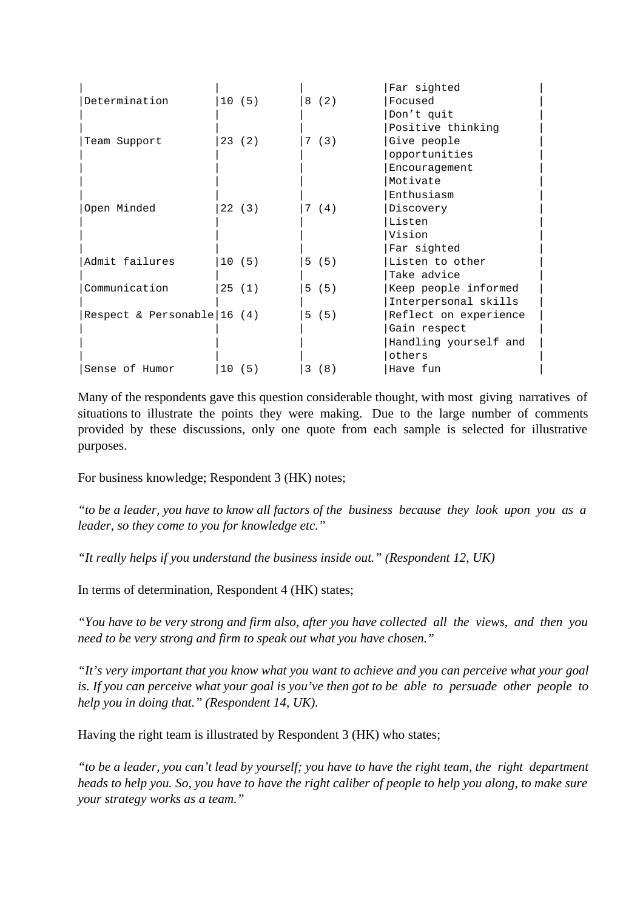|                              |       |       | Far sighted           |
|------------------------------|-------|-------|-----------------------|
| Determination                | 10(5) | 8(2)  | Focused               |
|                              |       |       | Don't quit            |
|                              |       |       | Positive thinking     |
| Team Support                 | 23(2) | 7(3)  | Give people           |
|                              |       |       | opportunities         |
|                              |       |       | Encouragement         |
|                              |       |       | Motivate              |
|                              |       |       | Enthusiasm            |
| Open Minded                  | 22(3) | 7 (4) | Discovery             |
|                              |       |       | Listen                |
|                              |       |       | Vision                |
|                              |       |       | Far sighted           |
| Admit failures               | 10(5) | 5 (5) | Listen to other       |
|                              |       |       | Take advice           |
| Communication                | 25(1) | 5 (5) | Keep people informed  |
|                              |       |       | Interpersonal skills  |
| Respect & Personable $16(4)$ |       | 5 (5) | Reflect on experience |
|                              |       |       | Gain respect          |
|                              |       |       | Handling yourself and |
|                              |       |       | others                |
| Sense of Humor               | 10(5) | 3(8)  | Have fun              |

Many of the respondents gave this question considerable thought, with most giving narratives of situations to illustrate the points they were making. Due to the large number of comments provided by these discussions, only one quote from each sample is selected for illustrative purposes.

For business knowledge; Respondent 3 (HK) notes;

*"to be a leader, you have to know all factors of the business because they look upon you as a leader, so they come to you for knowledge etc."*

*"It really helps if you understand the business inside out." (Respondent 12, UK)*

In terms of determination, Respondent 4 (HK) states;

*"You have to be very strong and firm also, after you have collected all the views, and then you need to be very strong and firm to speak out what you have chosen."*

*"It's very important that you know what you want to achieve and you can perceive what your goal is. If you can perceive what your goal is you've then got to be able to persuade other people to help you in doing that." (Respondent 14, UK).*

Having the right team is illustrated by Respondent 3 (HK) who states;

*"to be a leader, you can't lead by yourself; you have to have the right team, the right department heads to help you. So, you have to have the right caliber of people to help you along, to make sure your strategy works as a team."*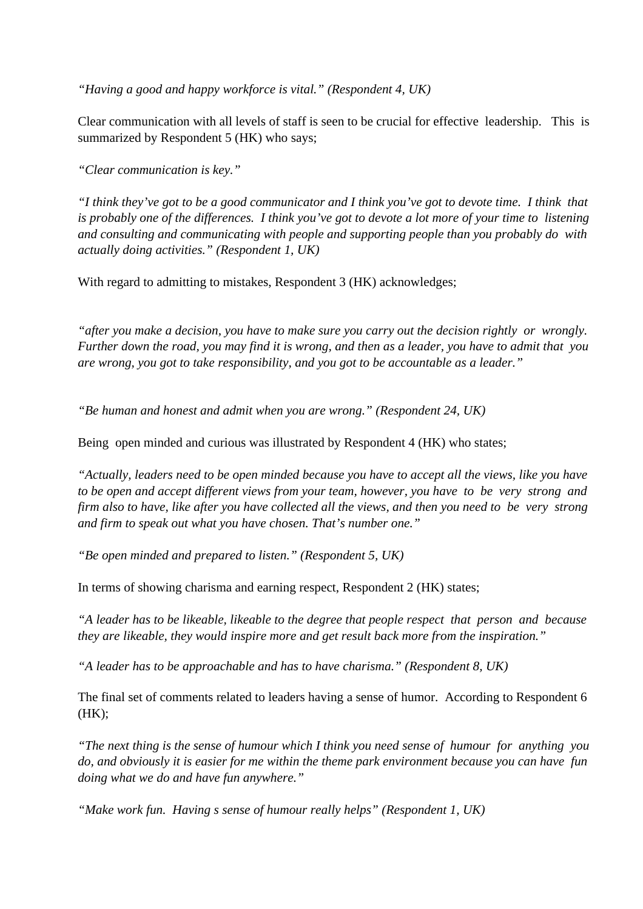*"Having a good and happy workforce is vital." (Respondent 4, UK)*

Clear communication with all levels of staff is seen to be crucial for effective leadership. This is summarized by Respondent 5 (HK) who says;

*"Clear communication is key."*

*"I think they've got to be a good communicator and I think you've got to devote time. I think that is probably one of the differences. I think you've got to devote a lot more of your time to listening and consulting and communicating with people and supporting people than you probably do with actually doing activities." (Respondent 1, UK)*

With regard to admitting to mistakes, Respondent 3 (HK) acknowledges;

*"after you make a decision, you have to make sure you carry out the decision rightly or wrongly. Further down the road, you may find it is wrong, and then as a leader, you have to admit that you are wrong, you got to take responsibility, and you got to be accountable as a leader."*

*"Be human and honest and admit when you are wrong." (Respondent 24, UK)*

Being open minded and curious was illustrated by Respondent 4 (HK) who states;

*"Actually, leaders need to be open minded because you have to accept all the views, like you have to be open and accept different views from your team, however, you have to be very strong and firm also to have, like after you have collected all the views, and then you need to be very strong and firm to speak out what you have chosen. That's number one."*

*"Be open minded and prepared to listen." (Respondent 5, UK)*

In terms of showing charisma and earning respect, Respondent 2 (HK) states;

*"A leader has to be likeable, likeable to the degree that people respect that person and because they are likeable, they would inspire more and get result back more from the inspiration."*

*"A leader has to be approachable and has to have charisma." (Respondent 8, UK)*

The final set of comments related to leaders having a sense of humor. According to Respondent 6 (HK);

*"The next thing is the sense of humour which I think you need sense of humour for anything you do, and obviously it is easier for me within the theme park environment because you can have fun doing what we do and have fun anywhere."*

*"Make work fun. Having s sense of humour really helps" (Respondent 1, UK)*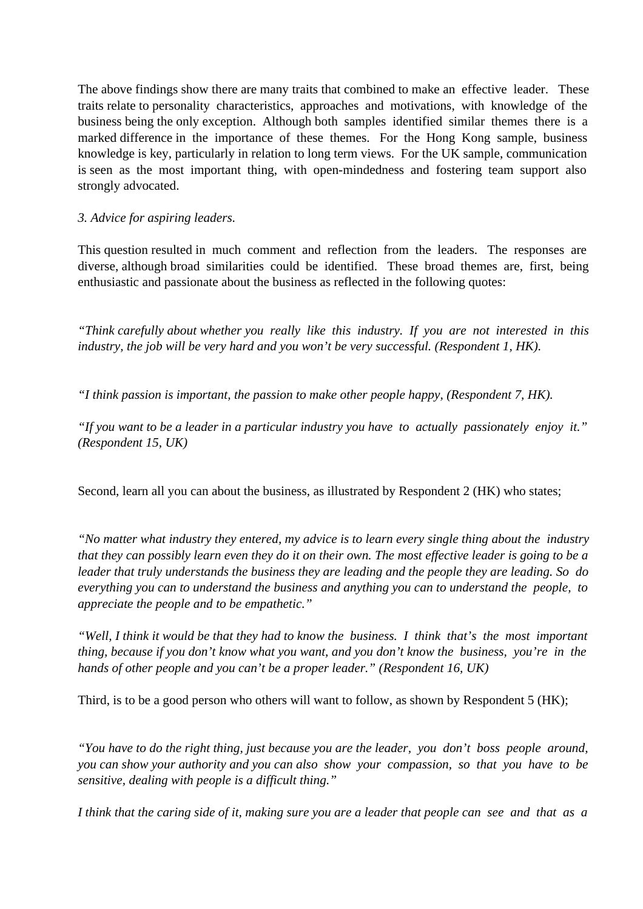The above findings show there are many traits that combined to make an effective leader. These traits relate to personality characteristics, approaches and motivations, with knowledge of the business being the only exception. Although both samples identified similar themes there is a marked difference in the importance of these themes. For the Hong Kong sample, business knowledge is key, particularly in relation to long term views. For the UK sample, communication is seen as the most important thing, with open-mindedness and fostering team support also strongly advocated.

*3. Advice for aspiring leaders.*

This question resulted in much comment and reflection from the leaders. The responses are diverse, although broad similarities could be identified. These broad themes are, first, being enthusiastic and passionate about the business as reflected in the following quotes:

*"Think carefully about whether you really like this industry. If you are not interested in this industry, the job will be very hard and you won't be very successful. (Respondent 1, HK).*

*"I think passion is important, the passion to make other people happy, (Respondent 7, HK).*

*"If you want to be a leader in a particular industry you have to actually passionately enjoy it." (Respondent 15, UK)*

Second, learn all you can about the business, as illustrated by Respondent 2 (HK) who states;

*"No matter what industry they entered, my advice is to learn every single thing about the industry that they can possibly learn even they do it on their own. The most effective leader is going to be a leader that truly understands the business they are leading and the people they are leading. So do everything you can to understand the business and anything you can to understand the people, to appreciate the people and to be empathetic."*

*"Well, I think it would be that they had to know the business. I think that's the most important thing, because if you don't know what you want, and you don't know the business, you're in the hands of other people and you can't be a proper leader." (Respondent 16, UK)*

Third, is to be a good person who others will want to follow, as shown by Respondent 5 (HK);

*"You have to do the right thing, just because you are the leader, you don't boss people around, you can show your authority and you can also show your compassion, so that you have to be sensitive, dealing with people is a difficult thing."*

*I think that the caring side of it, making sure you are a leader that people can see and that as a*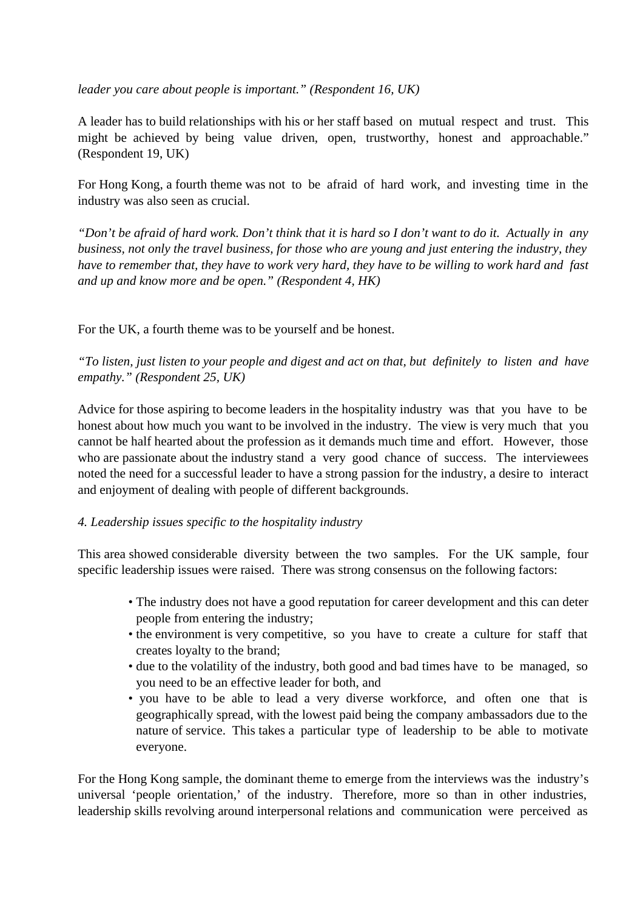*leader you care about people is important." (Respondent 16, UK)*

A leader has to build relationships with his or her staff based on mutual respect and trust. This might be achieved by being value driven, open, trustworthy, honest and approachable." (Respondent 19, UK)

For Hong Kong, a fourth theme was not to be afraid of hard work, and investing time in the industry was also seen as crucial.

*"Don't be afraid of hard work. Don't think that it is hard so I don't want to do it. Actually in any business, not only the travel business, for those who are young and just entering the industry, they have to remember that, they have to work very hard, they have to be willing to work hard and fast and up and know more and be open." (Respondent 4, HK)*

For the UK, a fourth theme was to be yourself and be honest.

*"To listen, just listen to your people and digest and act on that, but definitely to listen and have empathy." (Respondent 25, UK)*

Advice for those aspiring to become leaders in the hospitality industry was that you have to be honest about how much you want to be involved in the industry. The view is very much that you cannot be half hearted about the profession as it demands much time and effort. However, those who are passionate about the industry stand a very good chance of success. The interviewees noted the need for a successful leader to have a strong passion for the industry, a desire to interact and enjoyment of dealing with people of different backgrounds.

## *4. Leadership issues specific to the hospitality industry*

This area showed considerable diversity between the two samples. For the UK sample, four specific leadership issues were raised. There was strong consensus on the following factors:

- The industry does not have a good reputation for career development and this can deter people from entering the industry;
- the environment is very competitive, so you have to create a culture for staff that creates loyalty to the brand;
- due to the volatility of the industry, both good and bad times have to be managed, so you need to be an effective leader for both, and
- you have to be able to lead a very diverse workforce, and often one that is geographically spread, with the lowest paid being the company ambassadors due to the nature of service. This takes a particular type of leadership to be able to motivate everyone.

For the Hong Kong sample, the dominant theme to emerge from the interviews was the industry's universal 'people orientation,' of the industry. Therefore, more so than in other industries, leadership skills revolving around interpersonal relations and communication were perceived as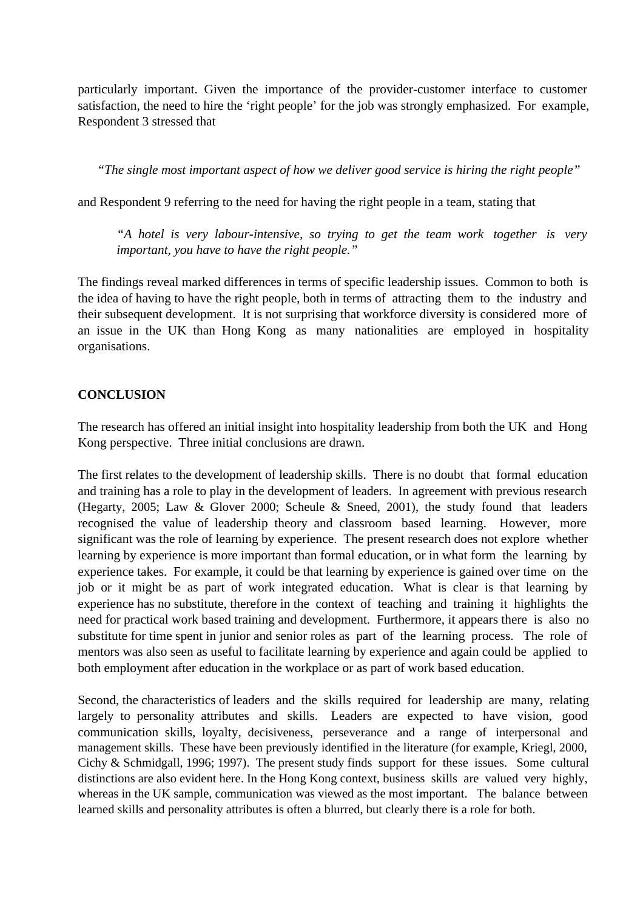particularly important. Given the importance of the provider-customer interface to customer satisfaction, the need to hire the 'right people' for the job was strongly emphasized. For example, Respondent 3 stressed that

*"The single most important aspect of how we deliver good service is hiring the right people"*

and Respondent 9 referring to the need for having the right people in a team, stating that

*"A hotel is very labour-intensive, so trying to get the team work together is very important, you have to have the right people."*

The findings reveal marked differences in terms of specific leadership issues. Common to both is the idea of having to have the right people, both in terms of attracting them to the industry and their subsequent development. It is not surprising that workforce diversity is considered more of an issue in the UK than Hong Kong as many nationalities are employed in hospitality organisations.

### **CONCLUSION**

The research has offered an initial insight into hospitality leadership from both the UK and Hong Kong perspective. Three initial conclusions are drawn.

The first relates to the development of leadership skills. There is no doubt that formal education and training has a role to play in the development of leaders. In agreement with previous research (Hegarty, 2005; Law & Glover 2000; Scheule & Sneed, 2001), the study found that leaders recognised the value of leadership theory and classroom based learning. However, more significant was the role of learning by experience. The present research does not explore whether learning by experience is more important than formal education, or in what form the learning by experience takes. For example, it could be that learning by experience is gained over time on the job or it might be as part of work integrated education. What is clear is that learning by experience has no substitute, therefore in the context of teaching and training it highlights the need for practical work based training and development. Furthermore, it appears there is also no substitute for time spent in junior and senior roles as part of the learning process. The role of mentors was also seen as useful to facilitate learning by experience and again could be applied to both employment after education in the workplace or as part of work based education.

Second, the characteristics of leaders and the skills required for leadership are many, relating largely to personality attributes and skills. Leaders are expected to have vision, good communication skills, loyalty, decisiveness, perseverance and a range of interpersonal and management skills. These have been previously identified in the literature (for example, Kriegl, 2000, Cichy & Schmidgall, 1996; 1997). The present study finds support for these issues. Some cultural distinctions are also evident here. In the Hong Kong context, business skills are valued very highly, whereas in the UK sample, communication was viewed as the most important. The balance between learned skills and personality attributes is often a blurred, but clearly there is a role for both.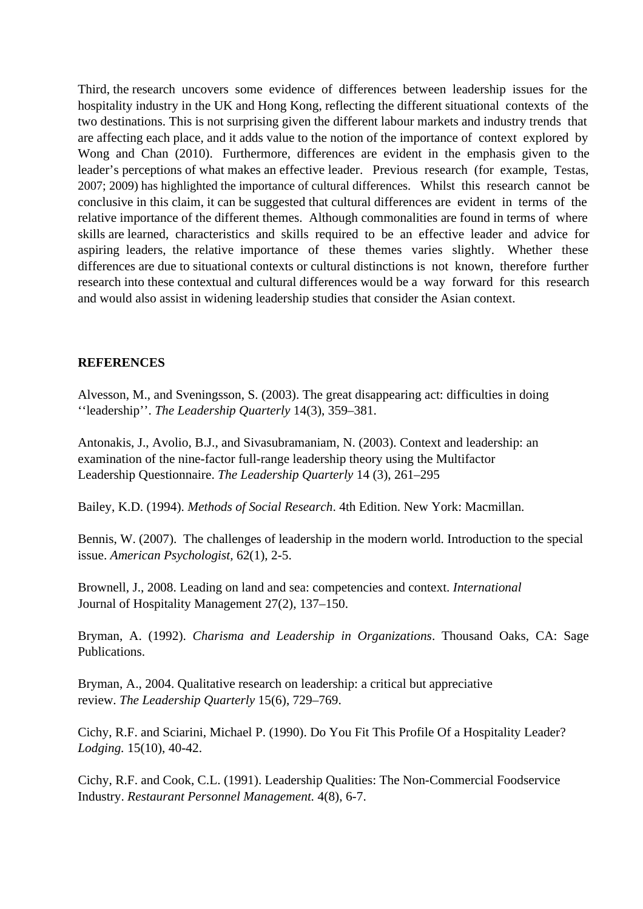Third, the research uncovers some evidence of differences between leadership issues for the hospitality industry in the UK and Hong Kong, reflecting the different situational contexts of the two destinations. This is not surprising given the different labour markets and industry trends that are affecting each place, and it adds value to the notion of the importance of context explored by Wong and Chan (2010). Furthermore, differences are evident in the emphasis given to the leader's perceptions of what makes an effective leader. Previous research (for example, Testas, 2007; 2009) has highlighted the importance of cultural differences. Whilst this research cannot be conclusive in this claim, it can be suggested that cultural differences are evident in terms of the relative importance of the different themes. Although commonalities are found in terms of where skills are learned, characteristics and skills required to be an effective leader and advice for aspiring leaders, the relative importance of these themes varies slightly. Whether these differences are due to situational contexts or cultural distinctions is not known, therefore further research into these contextual and cultural differences would be a way forward for this research and would also assist in widening leadership studies that consider the Asian context.

# **REFERENCES**

Alvesson, M., and Sveningsson, S. (2003). The great disappearing act: difficulties in doing ''leadership''. *The Leadership Quarterly* 14(3), 359–381.

Antonakis, J., Avolio, B.J., and Sivasubramaniam, N. (2003). Context and leadership: an examination of the nine-factor full-range leadership theory using the Multifactor Leadership Questionnaire. *The Leadership Quarterly* 14 (3), 261–295

Bailey, K.D. (1994). *Methods of Social Research*. 4th Edition. New York: Macmillan.

Bennis, W. (2007). The challenges of leadership in the modern world. Introduction to the special issue. *American Psychologist,* 62(1), 2-5.

Brownell, J., 2008. Leading on land and sea: competencies and context. *International* Journal of Hospitality Management 27(2), 137–150.

Bryman, A. (1992). *Charisma and Leadership in Organizations*. Thousand Oaks, CA: Sage Publications.

Bryman, A., 2004. Qualitative research on leadership: a critical but appreciative review. *The Leadership Quarterly* 15(6), 729–769.

Cichy, R.F. and Sciarini, Michael P. (1990). Do You Fit This Profile Of a Hospitality Leader? *Lodging.* 15(10), 40-42.

Cichy, R.F. and Cook, C.L. (1991). Leadership Qualities: The Non-Commercial Foodservice Industry. *Restaurant Personnel Management.* 4(8), 6-7.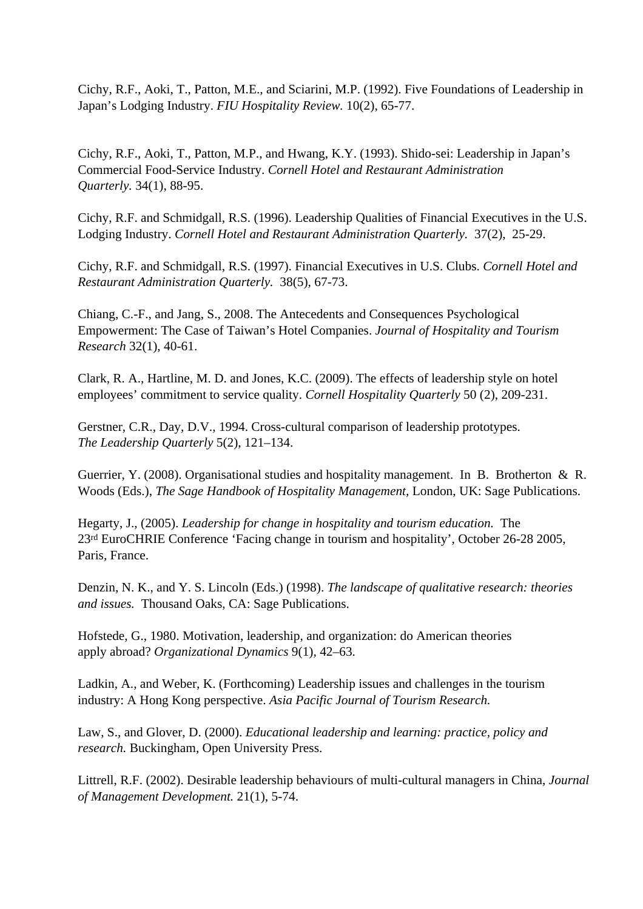Cichy, R.F., Aoki, T., Patton, M.E., and Sciarini, M.P. (1992). Five Foundations of Leadership in Japan's Lodging Industry. *FIU Hospitality Review.* 10(2), 65-77.

Cichy, R.F., Aoki, T., Patton, M.P., and Hwang, K.Y. (1993). Shido-sei: Leadership in Japan's Commercial Food-Service Industry. *Cornell Hotel and Restaurant Administration Quarterly.* 34(1), 88-95.

Cichy, R.F. and Schmidgall, R.S. (1996). Leadership Qualities of Financial Executives in the U.S. Lodging Industry. *Cornell Hotel and Restaurant Administration Quarterly.* 37(2), 25-29.

Cichy, R.F. and Schmidgall, R.S. (1997). Financial Executives in U.S. Clubs. *Cornell Hotel and Restaurant Administration Quarterly.* 38(5), 67-73.

Chiang, C.-F., and Jang, S., 2008. The Antecedents and Consequences Psychological Empowerment: The Case of Taiwan's Hotel Companies. *Journal of Hospitality and Tourism Research* 32(1), 40-61.

Clark, R. A., Hartline, M. D. and Jones, K.C. (2009). The effects of leadership style on hotel employees' commitment to service quality. *Cornell Hospitality Quarterly* 50 (2), 209-231.

Gerstner, C.R., Day, D.V., 1994. Cross-cultural comparison of leadership prototypes. *The Leadership Quarterly* 5(2), 121–134.

Guerrier, Y. (2008). Organisational studies and hospitality management. In B. Brotherton & R. Woods (Eds.), *The Sage Handbook of Hospitality Management,* London, UK: Sage Publications.

Hegarty, J., (2005). *Leadership for change in hospitality and tourism education.* The 23rd EuroCHRIE Conference 'Facing change in tourism and hospitality', October 26-28 2005, Paris, France.

Denzin, N. K., and Y. S. Lincoln (Eds.) (1998). *The landscape of qualitative research: theories and issues.* Thousand Oaks, CA: Sage Publications.

Hofstede, G., 1980. Motivation, leadership, and organization: do American theories apply abroad? *Organizational Dynamics* 9(1), 42–63.

Ladkin, A., and Weber, K. (Forthcoming) Leadership issues and challenges in the tourism industry: A Hong Kong perspective. *Asia Pacific Journal of Tourism Research.*

Law, S., and Glover, D. (2000). *Educational leadership and learning: practice, policy and research.* Buckingham, Open University Press.

Littrell, R.F. (2002). Desirable leadership behaviours of multi-cultural managers in China, *Journal of Management Development.* 21(1), 5-74.